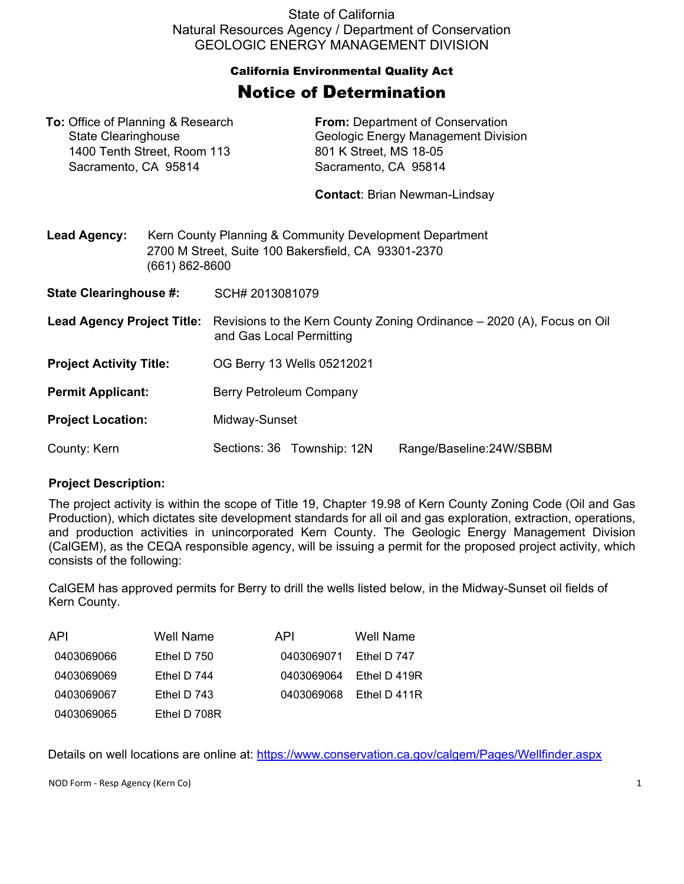State of California Natural Resources Agency / Department of Conservation GEOLOGIC ENERGY MANAGEMENT DIVISION

## California Environmental Quality Act Notice of Determination

| <b>To:</b> Office of Planning & Research<br><b>State Clearinghouse</b><br>1400 Tenth Street, Room 113<br>Sacramento, CA 95814 |                                                                                                                                  | <b>From:</b> Department of Conservation<br>Geologic Energy Management Division<br>801 K Street, MS 18-05<br>Sacramento, CA 95814<br><b>Contact: Brian Newman-Lindsay</b> |                            |                         |  |
|-------------------------------------------------------------------------------------------------------------------------------|----------------------------------------------------------------------------------------------------------------------------------|--------------------------------------------------------------------------------------------------------------------------------------------------------------------------|----------------------------|-------------------------|--|
| <b>Lead Agency:</b>                                                                                                           | Kern County Planning & Community Development Department<br>2700 M Street, Suite 100 Bakersfield, CA 93301-2370<br>(661) 862-8600 |                                                                                                                                                                          |                            |                         |  |
| <b>State Clearinghouse #:</b>                                                                                                 |                                                                                                                                  | SCH# 2013081079                                                                                                                                                          |                            |                         |  |
| <b>Lead Agency Project Title:</b>                                                                                             |                                                                                                                                  | Revisions to the Kern County Zoning Ordinance – 2020 (A), Focus on Oil<br>and Gas Local Permitting                                                                       |                            |                         |  |
| <b>Project Activity Title:</b>                                                                                                |                                                                                                                                  | OG Berry 13 Wells 05212021                                                                                                                                               |                            |                         |  |
| <b>Permit Applicant:</b>                                                                                                      |                                                                                                                                  | Berry Petroleum Company                                                                                                                                                  |                            |                         |  |
| <b>Project Location:</b>                                                                                                      |                                                                                                                                  | Midway-Sunset                                                                                                                                                            |                            |                         |  |
| County: Kern                                                                                                                  |                                                                                                                                  |                                                                                                                                                                          | Sections: 36 Township: 12N | Range/Baseline:24W/SBBM |  |

## **Project Description:**

The project activity is within the scope of Title 19, Chapter 19.98 of Kern County Zoning Code (Oil and Gas Production), which dictates site development standards for all oil and gas exploration, extraction, operations, and production activities in unincorporated Kern County. The Geologic Energy Management Division (CalGEM), as the CEQA responsible agency, will be issuing a permit for the proposed project activity, which consists of the following:

CalGEM has approved permits for Berry to drill the wells listed below, in the Midway-Sunset oil fields of Kern County.

| API        | Well Name     | API.       | Well Name    |
|------------|---------------|------------|--------------|
| 0403069066 | Ethel D $750$ | 0403069071 | Ethel D 747  |
| 0403069069 | Ethel D $744$ | 0403069064 | Ethel D 419R |
| 0403069067 | Ethel D $743$ | 0403069068 | Ethel D 411R |
| 0403069065 | Ethel D 708R  |            |              |

Details on well locations are online at:<https://www.conservation.ca.gov/calgem/Pages/Wellfinder.aspx>

NOD Form - Resp Agency (Kern Co) 1